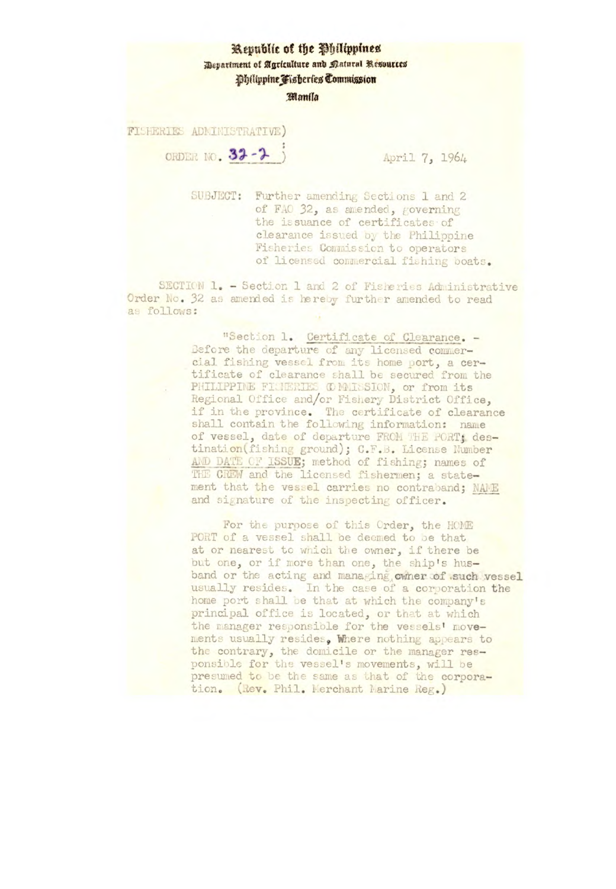## Republic of the Philippines

Department of Agriculture and Natural Resources

Dhilippine Fisheries Commission

## Manila

FISHERIES ADMINISTRATIVE)

ORDER NO. 32-2

April 7, 1964

SUBJECT: Further amending Sections 1 and 2 of FAO 32, as amended, governing the issuance of certificates of clearance issued by the Philippine Fisheries Commission to operators of licensed commercial fishing boats.

SECTION 1. - Section 1 and 2 of Fisheries Administrative Order No. 32 as amended is hereby further amended to read as follows:

> "Section 1. Certificate of Clearance. -Before the departure of any licensed commercial fishing vessel from its home port, a certificate of clearance shall be secured from the PHILIPPINE FILHERIES COMMISSION, or from its Regional Office and/or Fishery District Office, if in the province. The certificate of clearance shall contain the following information: name of vessel, date of departure FROM THE PORT; destination(fishing ground); C.F.B. License Number AND DATE OF ISSUE; method of fishing; names of THE CREW and the licensed fishermen; a statement that the vessel carries no contraband; NAME and signature of the inspecting officer.

For the purpose of this Order, the HOME PORT of a vessel shall be deemed to be that at or nearest to which the owner, if there be but one, or if more than one, the ship's husband or the acting and managing owner of such vessel usually resides. In the case of a corporation the home port shall be that at which the company's principal office is located, or that at which the manager responsible for the vessels' movements usually resides, Where nothing appears to the contrary, the domicile or the manager responsible for the vessel's movements, will be presumed to be the same as that of the corporation. (Rev. Phil. Merchant Marine Reg.)